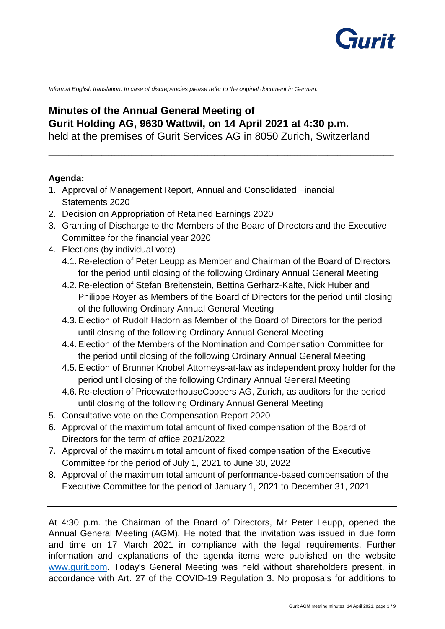

*Informal English translation. In case of discrepancies please refer to the original document in German.* 

# **Minutes of the Annual General Meeting of Gurit Holding AG, 9630 Wattwil, on 14 April 2021 at 4:30 p.m.**

held at the premises of Gurit Services AG in 8050 Zurich, Switzerland

**\_\_\_\_\_\_\_\_\_\_\_\_\_\_\_\_\_\_\_\_\_\_\_\_\_\_\_\_\_\_\_\_\_\_\_\_\_\_\_\_\_\_\_\_\_\_\_\_\_\_\_\_\_\_\_\_\_\_\_\_\_\_\_\_\_\_\_\_\_\_\_\_\_\_\_\_\_\_\_\_\_\_\_\_\_\_\_\_\_\_\_\_\_\_\_\_\_\_\_\_\_\_\_\_**

## **Agenda:**

- 1. Approval of Management Report, Annual and Consolidated Financial Statements 2020
- 2. Decision on Appropriation of Retained Earnings 2020
- 3. Granting of Discharge to the Members of the Board of Directors and the Executive Committee for the financial year 2020
- 4. Elections (by individual vote)
	- 4.1.Re-election of Peter Leupp as Member and Chairman of the Board of Directors for the period until closing of the following Ordinary Annual General Meeting
	- 4.2.Re-election of Stefan Breitenstein, Bettina Gerharz-Kalte, Nick Huber and Philippe Royer as Members of the Board of Directors for the period until closing of the following Ordinary Annual General Meeting
	- 4.3.Election of Rudolf Hadorn as Member of the Board of Directors for the period until closing of the following Ordinary Annual General Meeting
	- 4.4.Election of the Members of the Nomination and Compensation Committee for the period until closing of the following Ordinary Annual General Meeting
	- 4.5.Election of Brunner Knobel Attorneys-at-law as independent proxy holder for the period until closing of the following Ordinary Annual General Meeting
	- 4.6.Re-election of PricewaterhouseCoopers AG, Zurich, as auditors for the period until closing of the following Ordinary Annual General Meeting
- 5. Consultative vote on the Compensation Report 2020
- 6. Approval of the maximum total amount of fixed compensation of the Board of Directors for the term of office 2021/2022
- 7. Approval of the maximum total amount of fixed compensation of the Executive Committee for the period of July 1, 2021 to June 30, 2022
- 8. Approval of the maximum total amount of performance-based compensation of the Executive Committee for the period of January 1, 2021 to December 31, 2021

At 4:30 p.m. the Chairman of the Board of Directors, Mr Peter Leupp, opened the Annual General Meeting (AGM). He noted that the invitation was issued in due form and time on 17 March 2021 in compliance with the legal requirements. Further information and explanations of the agenda items were published on the website [www.gurit.com.](http://www.gurit.com/) Today's General Meeting was held without shareholders present, in accordance with Art. 27 of the COVID-19 Regulation 3. No proposals for additions to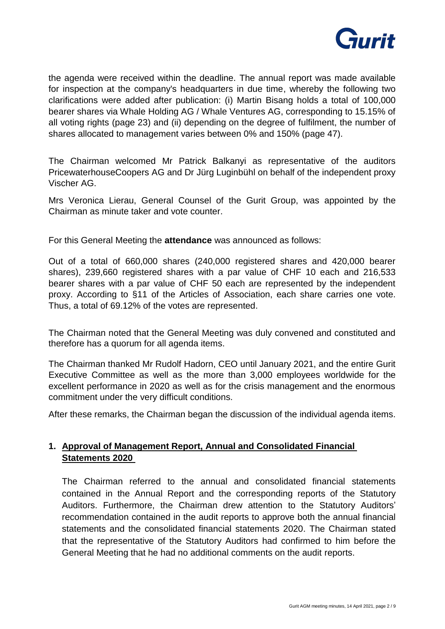

the agenda were received within the deadline. The annual report was made available for inspection at the company's headquarters in due time, whereby the following two clarifications were added after publication: (i) Martin Bisang holds a total of 100,000 bearer shares via Whale Holding AG / Whale Ventures AG, corresponding to 15.15% of all voting rights (page 23) and (ii) depending on the degree of fulfilment, the number of shares allocated to management varies between 0% and 150% (page 47).

The Chairman welcomed Mr Patrick Balkanyi as representative of the auditors PricewaterhouseCoopers AG and Dr Jürg Luginbühl on behalf of the independent proxy Vischer AG.

Mrs Veronica Lierau, General Counsel of the Gurit Group, was appointed by the Chairman as minute taker and vote counter.

For this General Meeting the **attendance** was announced as follows:

Out of a total of 660,000 shares (240,000 registered shares and 420,000 bearer shares), 239,660 registered shares with a par value of CHF 10 each and 216,533 bearer shares with a par value of CHF 50 each are represented by the independent proxy. According to §11 of the Articles of Association, each share carries one vote. Thus, a total of 69.12% of the votes are represented.

The Chairman noted that the General Meeting was duly convened and constituted and therefore has a quorum for all agenda items.

The Chairman thanked Mr Rudolf Hadorn, CEO until January 2021, and the entire Gurit Executive Committee as well as the more than 3,000 employees worldwide for the excellent performance in 2020 as well as for the crisis management and the enormous commitment under the very difficult conditions.

After these remarks, the Chairman began the discussion of the individual agenda items.

### **1. Approval of Management Report, Annual and Consolidated Financial Statements 2020**

The Chairman referred to the annual and consolidated financial statements contained in the Annual Report and the corresponding reports of the Statutory Auditors. Furthermore, the Chairman drew attention to the Statutory Auditors' recommendation contained in the audit reports to approve both the annual financial statements and the consolidated financial statements 2020. The Chairman stated that the representative of the Statutory Auditors had confirmed to him before the General Meeting that he had no additional comments on the audit reports.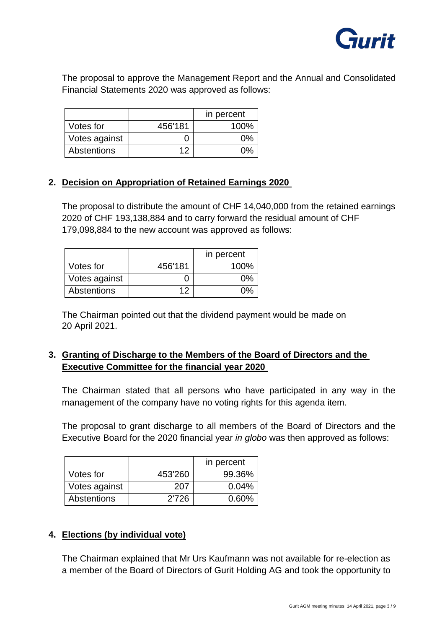

The proposal to approve the Management Report and the Annual and Consolidated Financial Statements 2020 was approved as follows:

|               |         | in percent |
|---------------|---------|------------|
| Votes for     | 456'181 | $100\%$    |
| Votes against |         | በ%         |
| Abstentions   | 12      | በ%         |

### **2. Decision on Appropriation of Retained Earnings 2020**

The proposal to distribute the amount of CHF 14,040,000 from the retained earnings 2020 of CHF 193,138,884 and to carry forward the residual amount of CHF 179,098,884 to the new account was approved as follows:

|               |         | in percent |
|---------------|---------|------------|
| Votes for     | 456'181 | 100%       |
| Votes against |         | 0%         |
| Abstentions   | 12      | በ%         |

The Chairman pointed out that the dividend payment would be made on 20 April 2021.

### **3. Granting of Discharge to the Members of the Board of Directors and the Executive Committee for the financial year 2020**

The Chairman stated that all persons who have participated in any way in the management of the company have no voting rights for this agenda item.

The proposal to grant discharge to all members of the Board of Directors and the Executive Board for the 2020 financial year *in globo* was then approved as follows:

|               |         | in percent |
|---------------|---------|------------|
| Votes for     | 453'260 | 99.36%     |
| Votes against | 207     | 0.04%      |
| Abstentions   | 2'726   | 0.60%      |

#### **4. Elections (by individual vote)**

The Chairman explained that Mr Urs Kaufmann was not available for re-election as a member of the Board of Directors of Gurit Holding AG and took the opportunity to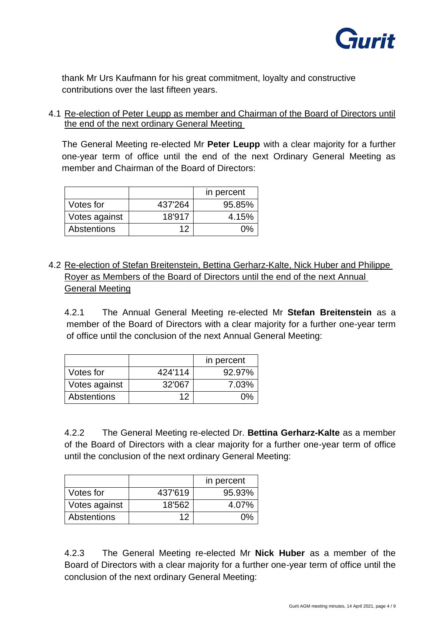

thank Mr Urs Kaufmann for his great commitment, loyalty and constructive contributions over the last fifteen years.

4.1 Re-election of Peter Leupp as member and Chairman of the Board of Directors until the end of the next ordinary General Meeting

The General Meeting re-elected Mr **Peter Leupp** with a clear majority for a further one-year term of office until the end of the next Ordinary General Meeting as member and Chairman of the Board of Directors:

|                    |         | in percent |
|--------------------|---------|------------|
| Votes for          | 437'264 | 95.85%     |
| Votes against      | 18'917  | 4.15%      |
| <b>Abstentions</b> | 12      | 0%         |

4.2 Re-election of Stefan Breitenstein, Bettina Gerharz-Kalte, Nick Huber and Philippe Royer as Members of the Board of Directors until the end of the next Annual General Meeting

4.2.1 The Annual General Meeting re-elected Mr **Stefan Breitenstein** as a member of the Board of Directors with a clear majority for a further one-year term of office until the conclusion of the next Annual General Meeting:

|               |         | in percent |
|---------------|---------|------------|
| Votes for     | 424'114 | 92.97%     |
| Votes against | 32'067  | 7.03%      |
| Abstentions   | 12      | በ%         |

4.2.2 The General Meeting re-elected Dr. **Bettina Gerharz-Kalte** as a member of the Board of Directors with a clear majority for a further one-year term of office until the conclusion of the next ordinary General Meeting:

|               |         | in percent |
|---------------|---------|------------|
| Votes for     | 437'619 | 95.93%     |
| Votes against | 18'562  | 4.07%      |
| Abstentions   | 12      | በ%         |

4.2.3 The General Meeting re-elected Mr **Nick Huber** as a member of the Board of Directors with a clear majority for a further one-year term of office until the conclusion of the next ordinary General Meeting: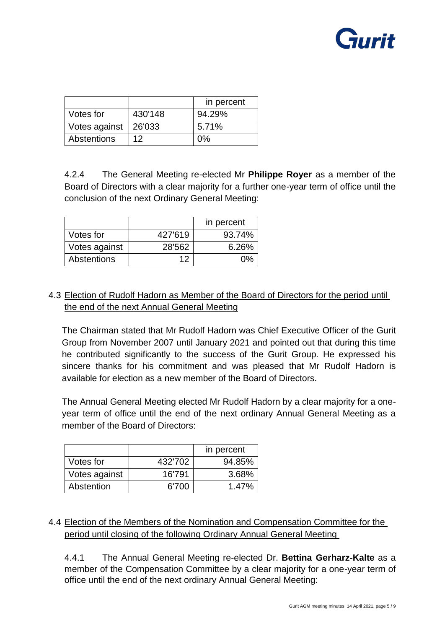

|               |         | in percent |
|---------------|---------|------------|
| Votes for     | 430'148 | 94.29%     |
| Votes against | 26'033  | 5.71%      |
| Abstentions   | 12      | በ%         |

4.2.4 The General Meeting re-elected Mr **Philippe Royer** as a member of the Board of Directors with a clear majority for a further one-year term of office until the conclusion of the next Ordinary General Meeting:

|               |         | in percent |
|---------------|---------|------------|
| Votes for     | 427'619 | 93.74%     |
| Votes against | 28'562  | 6.26%      |
| Abstentions   | 12      | በ%         |

# 4.3 Election of Rudolf Hadorn as Member of the Board of Directors for the period until the end of the next Annual General Meeting

The Chairman stated that Mr Rudolf Hadorn was Chief Executive Officer of the Gurit Group from November 2007 until January 2021 and pointed out that during this time he contributed significantly to the success of the Gurit Group. He expressed his sincere thanks for his commitment and was pleased that Mr Rudolf Hadorn is available for election as a new member of the Board of Directors.

The Annual General Meeting elected Mr Rudolf Hadorn by a clear majority for a oneyear term of office until the end of the next ordinary Annual General Meeting as a member of the Board of Directors:

|               |         | in percent |
|---------------|---------|------------|
| Votes for     | 432'702 | 94.85%     |
| Votes against | 16'791  | 3.68%      |
| Abstention    | 6'700   | 1.47%      |

# 4.4 Election of the Members of the Nomination and Compensation Committee for the period until closing of the following Ordinary Annual General Meeting

4.4.1 The Annual General Meeting re-elected Dr. **Bettina Gerharz-Kalte** as a member of the Compensation Committee by a clear majority for a one-year term of office until the end of the next ordinary Annual General Meeting: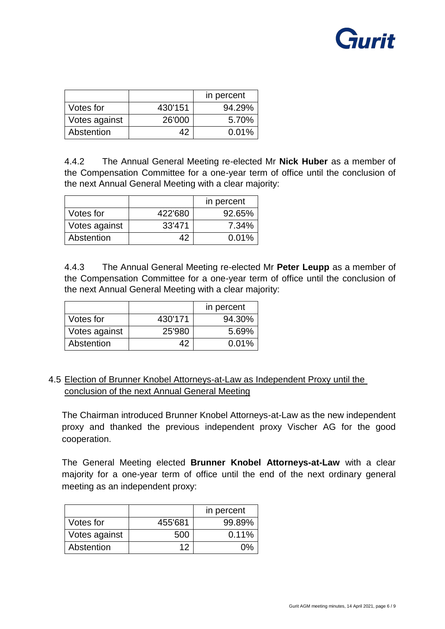

|               |         | in percent |
|---------------|---------|------------|
| Votes for     | 430'151 | 94.29%     |
| Votes against | 26'000  | 5.70%      |
| Abstention    | 42      | 0.01%      |

4.4.2 The Annual General Meeting re-elected Mr **Nick Huber** as a member of the Compensation Committee for a one-year term of office until the conclusion of the next Annual General Meeting with a clear majority:

|               |         | in percent |
|---------------|---------|------------|
| Votes for     | 422'680 | 92.65%     |
| Votes against | 33'471  | 7.34%      |
| Abstention    | 42      | 0.01%      |

4.4.3 The Annual General Meeting re-elected Mr **Peter Leupp** as a member of the Compensation Committee for a one-year term of office until the conclusion of the next Annual General Meeting with a clear majority:

|               |         | in percent |
|---------------|---------|------------|
| Votes for     | 430'171 | 94.30%     |
| Votes against | 25'980  | 5.69%      |
| Abstention    | 42      | 0.01%      |

## 4.5 Election of Brunner Knobel Attorneys-at-Law as Independent Proxy until the conclusion of the next Annual General Meeting

The Chairman introduced Brunner Knobel Attorneys-at-Law as the new independent proxy and thanked the previous independent proxy Vischer AG for the good cooperation.

The General Meeting elected **Brunner Knobel Attorneys-at-Law** with a clear majority for a one-year term of office until the end of the next ordinary general meeting as an independent proxy:

|               |         | in percent |
|---------------|---------|------------|
| Votes for     | 455'681 | 99.89%     |
| Votes against | 500     | $0.11\%$   |
| Abstention    | 12      |            |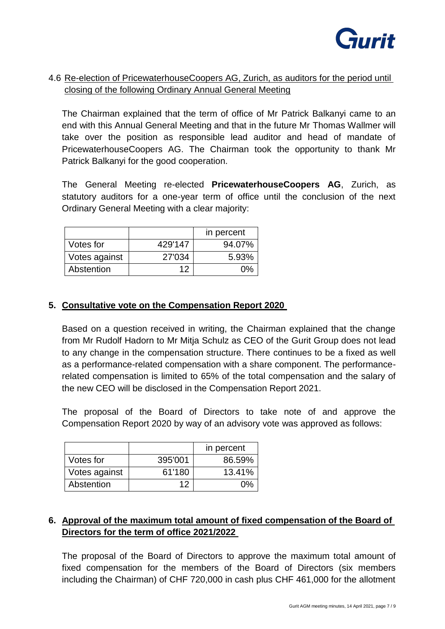

# 4.6 Re-election of PricewaterhouseCoopers AG, Zurich, as auditors for the period until closing of the following Ordinary Annual General Meeting

The Chairman explained that the term of office of Mr Patrick Balkanyi came to an end with this Annual General Meeting and that in the future Mr Thomas Wallmer will take over the position as responsible lead auditor and head of mandate of PricewaterhouseCoopers AG. The Chairman took the opportunity to thank Mr Patrick Balkanyi for the good cooperation.

The General Meeting re-elected **PricewaterhouseCoopers AG**, Zurich, as statutory auditors for a one-year term of office until the conclusion of the next Ordinary General Meeting with a clear majority:

|               |         | in percent |
|---------------|---------|------------|
| Votes for     | 429'147 | 94.07%     |
| Votes against | 27'034  | 5.93%      |
| Abstention    | 12      | ሰ%         |

### **5. Consultative vote on the Compensation Report 2020**

Based on a question received in writing, the Chairman explained that the change from Mr Rudolf Hadorn to Mr Mitja Schulz as CEO of the Gurit Group does not lead to any change in the compensation structure. There continues to be a fixed as well as a performance-related compensation with a share component. The performancerelated compensation is limited to 65% of the total compensation and the salary of the new CEO will be disclosed in the Compensation Report 2021.

The proposal of the Board of Directors to take note of and approve the Compensation Report 2020 by way of an advisory vote was approved as follows:

|               |         | in percent |
|---------------|---------|------------|
| Votes for     | 395'001 | 86.59%     |
| Votes against | 61'180  | 13.41%     |
| Abstention    | 12      | በ%         |

# **6. Approval of the maximum total amount of fixed compensation of the Board of Directors for the term of office 2021/2022**

The proposal of the Board of Directors to approve the maximum total amount of fixed compensation for the members of the Board of Directors (six members including the Chairman) of CHF 720,000 in cash plus CHF 461,000 for the allotment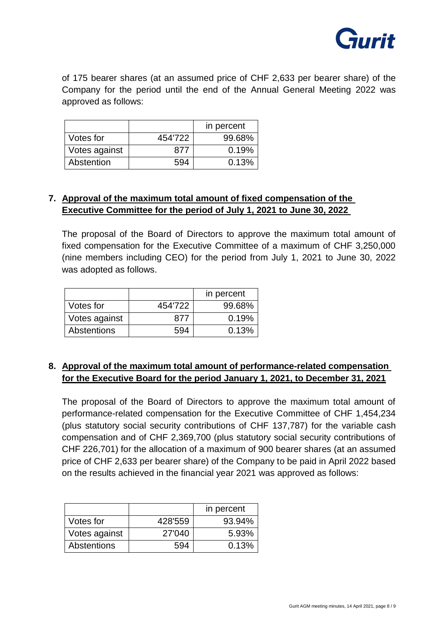

of 175 bearer shares (at an assumed price of CHF 2,633 per bearer share) of the Company for the period until the end of the Annual General Meeting 2022 was approved as follows:

|               |         | in percent |
|---------------|---------|------------|
| Votes for     | 454'722 | 99.68%     |
| Votes against | 877     | 0.19%      |
| Abstention    | 594     | 0.13%      |

## **7. Approval of the maximum total amount of fixed compensation of the Executive Committee for the period of July 1, 2021 to June 30, 2022**

The proposal of the Board of Directors to approve the maximum total amount of fixed compensation for the Executive Committee of a maximum of CHF 3,250,000 (nine members including CEO) for the period from July 1, 2021 to June 30, 2022 was adopted as follows.

|                    |         | in percent |
|--------------------|---------|------------|
| Votes for          | 454'722 | 99.68%     |
| Votes against      | 877     | 0.19%      |
| <b>Abstentions</b> | 594     | 0.13%      |

## **8. Approval of the maximum total amount of performance-related compensation for the Executive Board for the period January 1, 2021, to December 31, 2021**

The proposal of the Board of Directors to approve the maximum total amount of performance-related compensation for the Executive Committee of CHF 1,454,234 (plus statutory social security contributions of CHF 137,787) for the variable cash compensation and of CHF 2,369,700 (plus statutory social security contributions of CHF 226,701) for the allocation of a maximum of 900 bearer shares (at an assumed price of CHF 2,633 per bearer share) of the Company to be paid in April 2022 based on the results achieved in the financial year 2021 was approved as follows:

|               |         | in percent |
|---------------|---------|------------|
| Votes for     | 428'559 | 93.94%     |
| Votes against | 27'040  | 5.93%      |
| Abstentions   | 594     | 0.13%      |